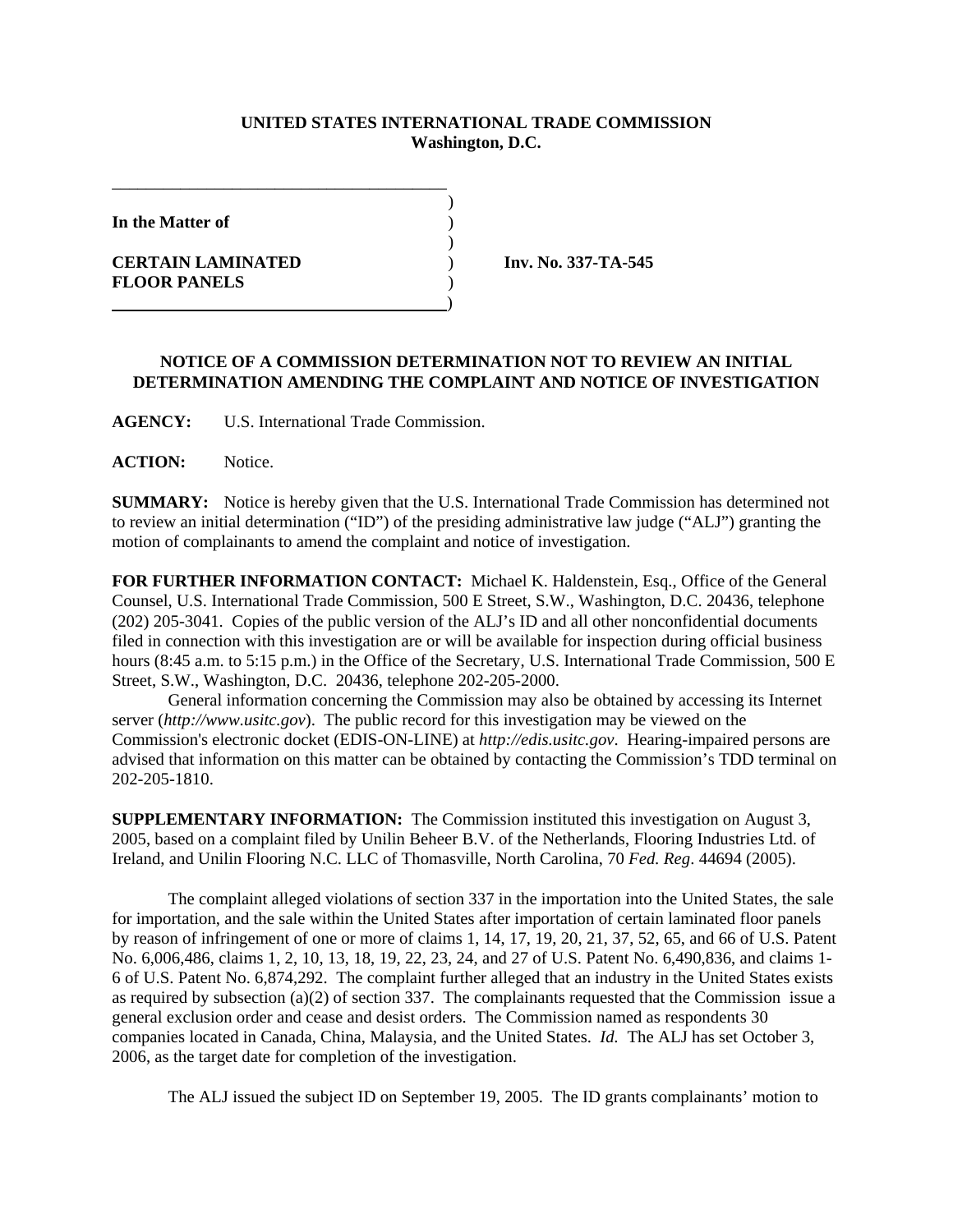## **UNITED STATES INTERNATIONAL TRADE COMMISSION Washington, D.C.**

)

)

**In the Matter of** )

**CERTAIN LAMINATED** ) **Inv. No. 337-TA-545 FLOOR PANELS** )

## **NOTICE OF A COMMISSION DETERMINATION NOT TO REVIEW AN INITIAL DETERMINATION AMENDING THE COMPLAINT AND NOTICE OF INVESTIGATION**

**AGENCY:** U.S. International Trade Commission.

\_\_\_\_\_\_\_\_\_\_\_\_\_\_\_\_\_\_\_\_\_\_\_\_\_\_\_\_\_\_\_\_\_\_\_\_\_\_\_

)

**ACTION:** Notice.

**SUMMARY:** Notice is hereby given that the U.S. International Trade Commission has determined not to review an initial determination ("ID") of the presiding administrative law judge ("ALJ") granting the motion of complainants to amend the complaint and notice of investigation.

**FOR FURTHER INFORMATION CONTACT:** Michael K. Haldenstein, Esq., Office of the General Counsel, U.S. International Trade Commission, 500 E Street, S.W., Washington, D.C. 20436, telephone (202) 205-3041. Copies of the public version of the ALJ's ID and all other nonconfidential documents filed in connection with this investigation are or will be available for inspection during official business hours (8:45 a.m. to 5:15 p.m.) in the Office of the Secretary, U.S. International Trade Commission, 500 E Street, S.W., Washington, D.C. 20436, telephone 202-205-2000.

General information concerning the Commission may also be obtained by accessing its Internet server (*http://www.usitc.gov*). The public record for this investigation may be viewed on the Commission's electronic docket (EDIS-ON-LINE) at *http://edis.usitc.gov*. Hearing-impaired persons are advised that information on this matter can be obtained by contacting the Commission's TDD terminal on 202-205-1810.

**SUPPLEMENTARY INFORMATION:** The Commission instituted this investigation on August 3, 2005, based on a complaint filed by Unilin Beheer B.V. of the Netherlands, Flooring Industries Ltd. of Ireland, and Unilin Flooring N.C. LLC of Thomasville, North Carolina, 70 *Fed. Reg*. 44694 (2005).

The complaint alleged violations of section 337 in the importation into the United States, the sale for importation, and the sale within the United States after importation of certain laminated floor panels by reason of infringement of one or more of claims 1, 14, 17, 19, 20, 21, 37, 52, 65, and 66 of U.S. Patent No. 6,006,486, claims 1, 2, 10, 13, 18, 19, 22, 23, 24, and 27 of U.S. Patent No. 6,490,836, and claims 1- 6 of U.S. Patent No. 6,874,292. The complaint further alleged that an industry in the United States exists as required by subsection (a)(2) of section 337. The complainants requested that the Commission issue a general exclusion order and cease and desist orders. The Commission named as respondents 30 companies located in Canada, China, Malaysia, and the United States. *Id.* The ALJ has set October 3, 2006, as the target date for completion of the investigation.

The ALJ issued the subject ID on September 19, 2005. The ID grants complainants' motion to